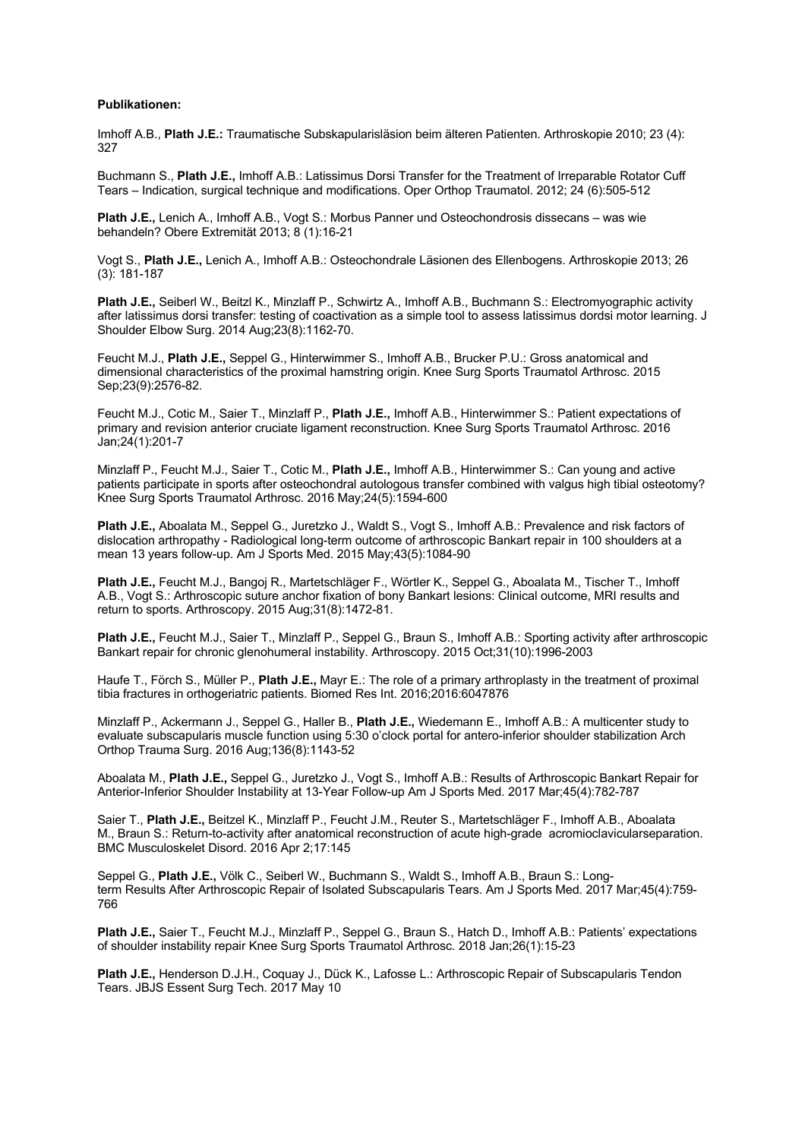### **Publikationen:**

Imhoff A.B., **Plath J.E.:** Traumatische Subskapularisläsion beim älteren Patienten. Arthroskopie 2010; 23 (4): 327

Buchmann S., **Plath J.E.,** Imhoff A.B.: Latissimus Dorsi Transfer for the Treatment of Irreparable Rotator Cuff Tears – Indication, surgical technique and modifications. Oper Orthop Traumatol. 2012; 24 (6):505-512

**Plath J.E.,** Lenich A., Imhoff A.B., Vogt S.: Morbus Panner und Osteochondrosis dissecans – was wie behandeln? Obere Extremität 2013; 8 (1):16-21

Vogt S., **Plath J.E.,** Lenich A., Imhoff A.B.: Osteochondrale Läsionen des Ellenbogens. Arthroskopie 2013; 26 (3): 181-187

**Plath J.E.,** Seiberl W., Beitzl K., Minzlaff P., Schwirtz A., Imhoff A.B., Buchmann S.: Electromyographic activity after latissimus dorsi transfer: testing of coactivation as a simple tool to assess latissimus dordsi motor learning. J Shoulder Elbow Surg. 2014 Aug;23(8):1162-70.

Feucht M.J., **Plath J.E.,** Seppel G., Hinterwimmer S., Imhoff A.B., Brucker P.U.: Gross anatomical and dimensional characteristics of the proximal hamstring origin. Knee Surg Sports Traumatol Arthrosc. 2015 Sep;23(9):2576-82.

Feucht M.J., Cotic M., Saier T., Minzlaff P., **Plath J.E.,** Imhoff A.B., Hinterwimmer S.: Patient expectations of primary and revision anterior cruciate ligament reconstruction. Knee Surg Sports Traumatol Arthrosc. 2016 Jan;24(1):201-7

Minzlaff P., Feucht M.J., Saier T., Cotic M., **Plath J.E.,** Imhoff A.B., Hinterwimmer S.: Can young and active patients participate in sports after osteochondral autologous transfer combined with valgus high tibial osteotomy? Knee Surg Sports Traumatol Arthrosc. 2016 May;24(5):1594-600

**Plath J.E.,** Aboalata M., Seppel G., Juretzko J., Waldt S., Vogt S., Imhoff A.B.: Prevalence and risk factors of dislocation arthropathy - Radiological long-term outcome of arthroscopic Bankart repair in 100 shoulders at a mean 13 years follow-up. Am J Sports Med. 2015 May;43(5):1084-90

**Plath J.E.,** Feucht M.J., Bangoj R., Martetschläger F., Wörtler K., Seppel G., Aboalata M., Tischer T., Imhoff A.B., Vogt S.: Arthroscopic suture anchor fixation of bony Bankart lesions: Clinical outcome, MRI results and return to sports. Arthroscopy. 2015 Aug;31(8):1472-81.

**Plath J.E.,** Feucht M.J., Saier T., Minzlaff P., Seppel G., Braun S., Imhoff A.B.: Sporting activity after arthroscopic Bankart repair for chronic glenohumeral instability. Arthroscopy. 2015 Oct;31(10):1996-2003

Haufe T., Förch S., Müller P., **Plath J.E.,** Mayr E.: The role of a primary arthroplasty in the treatment of proximal tibia fractures in orthogeriatric patients. Biomed Res Int. 2016;2016:6047876

Minzlaff P., Ackermann J., Seppel G., Haller B., **Plath J.E.,** Wiedemann E., Imhoff A.B.: A multicenter study to evaluate subscapularis muscle function using 5:30 o'clock portal for antero-inferior shoulder stabilization Arch Orthop Trauma Surg. 2016 Aug;136(8):1143-52

Aboalata M., **Plath J.E.,** Seppel G., Juretzko J., Vogt S., Imhoff A.B.: Results of Arthroscopic Bankart Repair for Anterior-Inferior Shoulder Instability at 13-Year Follow-up Am J Sports Med. 2017 Mar;45(4):782-787

Saier T., **Plath J.E.,** Beitzel K., Minzlaff P., Feucht J.M., Reuter S., Martetschläger F., Imhoff A.B., Aboalata M., Braun S.: Return-to-activity after anatomical reconstruction of acute high-grade acromioclavicularseparation. BMC Musculoskelet Disord. 2016 Apr 2;17:145

Seppel G., **Plath J.E.,** Völk C., Seiberl W., Buchmann S., Waldt S., Imhoff A.B., Braun S.: Longterm Results After Arthroscopic Repair of Isolated Subscapularis Tears. Am J Sports Med. 2017 Mar;45(4):759- 766

**Plath J.E.,** Saier T., Feucht M.J., Minzlaff P., Seppel G., Braun S., Hatch D., Imhoff A.B.: Patients' expectations of shoulder instability repair Knee Surg Sports Traumatol Arthrosc. 2018 Jan;26(1):15-23

**Plath J.E.,** Henderson D.J.H., Coquay J., Dück K., Lafosse L.: Arthroscopic Repair of Subscapularis Tendon Tears. JBJS Essent Surg Tech. 2017 May 10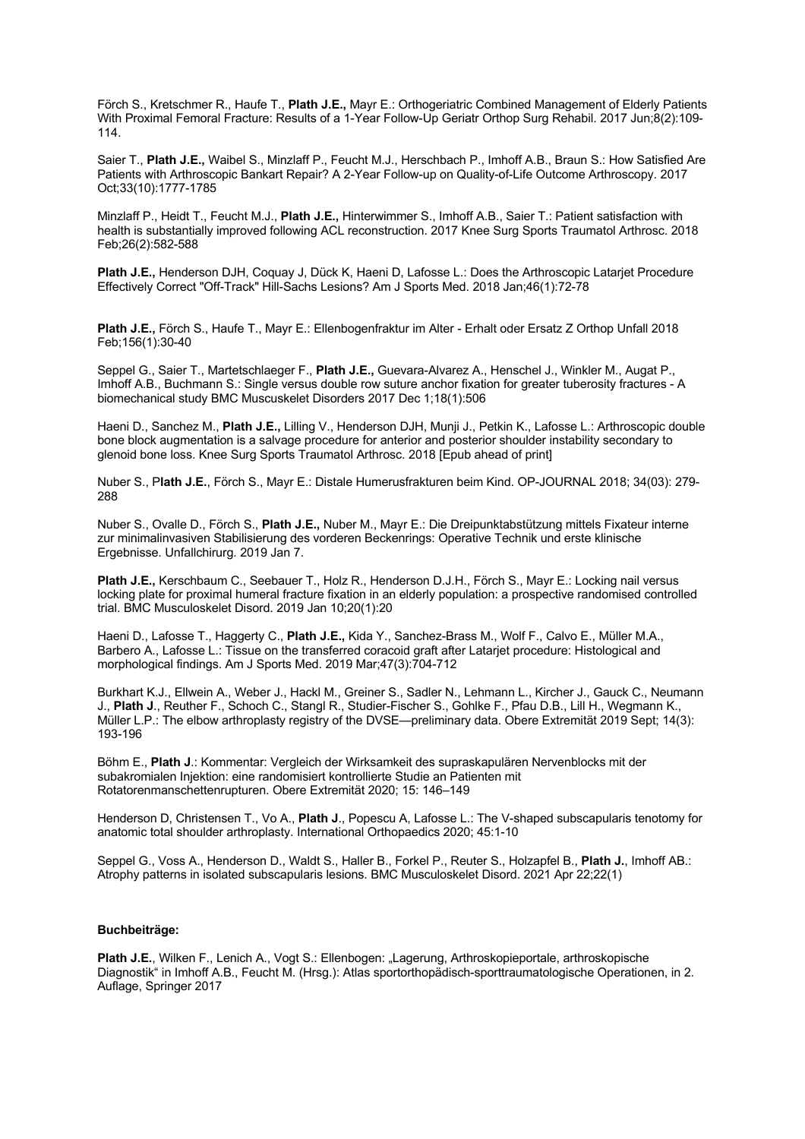Förch S., Kretschmer R., Haufe T., **Plath J.E.,** Mayr E.: Orthogeriatric Combined Management of Elderly Patients With Proximal Femoral Fracture: Results of a 1-Year Follow-Up Geriatr Orthop Surg Rehabil. 2017 Jun;8(2):109- 114.

Saier T., **Plath J.E.,** Waibel S., Minzlaff P., Feucht M.J., Herschbach P., Imhoff A.B., Braun S.: How Satisfied Are Patients with Arthroscopic Bankart Repair? A 2-Year Follow-up on Quality-of-Life Outcome Arthroscopy. 2017 Oct;33(10):1777-1785

Minzlaff P., Heidt T., Feucht M.J., **Plath J.E.,** Hinterwimmer S., Imhoff A.B., Saier T.: Patient satisfaction with health is substantially improved following ACL reconstruction. 2017 Knee Surg Sports Traumatol Arthrosc. 2018 Feb;26(2):582-588

**Plath J.E.,** Henderson DJH, Coquay J, Dück K, Haeni D, Lafosse L.: Does the Arthroscopic Latarjet Procedure Effectively Correct "Off-Track" Hill-Sachs Lesions? Am J Sports Med. 2018 Jan;46(1):72-78

**Plath J.E.,** Förch S., Haufe T., Mayr E.: Ellenbogenfraktur im Alter - Erhalt oder Ersatz Z Orthop Unfall 2018 Feb;156(1):30-40

Seppel G., Saier T., Martetschlaeger F., **Plath J.E.,** Guevara-Alvarez A., Henschel J., Winkler M., Augat P., Imhoff A.B., Buchmann S.: Single versus double row suture anchor fixation for greater tuberosity fractures - A biomechanical study BMC Muscuskelet Disorders 2017 Dec 1;18(1):506

Haeni D., Sanchez M., **Plath J.E.,** Lilling V., Henderson DJH, Munji J., Petkin K., Lafosse L.: Arthroscopic double bone block augmentation is a salvage procedure for anterior and posterior shoulder instability secondary to glenoid bone loss. Knee Surg Sports Traumatol Arthrosc. 2018 [Epub ahead of print]

Nuber S., P**lath J.E.**, Förch S., Mayr E.: Distale Humerusfrakturen beim Kind. OP-JOURNAL 2018; 34(03): 279- 288

Nuber S., Ovalle D., Förch S., **Plath J.E.,** Nuber M., Mayr E.: Die Dreipunktabstützung mittels Fixateur interne zur minimalinvasiven Stabilisierung des vorderen Beckenrings: Operative Technik und erste klinische Ergebnisse. Unfallchirurg. 2019 Jan 7.

**Plath J.E.,** Kerschbaum C., Seebauer T., Holz R., Henderson D.J.H., Förch S., Mayr E.: Locking nail versus locking plate for proximal humeral fracture fixation in an elderly population: a prospective randomised controlled trial. BMC Musculoskelet Disord. 2019 Jan 10;20(1):20

Haeni D., Lafosse T., Haggerty C., **Plath J.E.,** Kida Y., Sanchez-Brass M., Wolf F., Calvo E., Müller M.A., Barbero A., Lafosse L.: Tissue on the transferred coracoid graft after Latarjet procedure: Histological and morphological findings. Am J Sports Med. 2019 Mar;47(3):704-712

Burkhart K.J., Ellwein A., Weber J., Hackl M., Greiner S., Sadler N., Lehmann L., Kircher J., Gauck C., Neumann J., **Plath J**., Reuther F., Schoch C., Stangl R., Studier-Fischer S., Gohlke F., Pfau D.B., Lill H., Wegmann K., Müller L.P.: The elbow arthroplasty registry of the DVSE—preliminary data. Obere Extremität 2019 Sept; 14(3): 193-196

Böhm E., **Plath J**.: Kommentar: Vergleich der Wirksamkeit des supraskapulären Nervenblocks mit der subakromialen Injektion: eine randomisiert kontrollierte Studie an Patienten mit Rotatorenmanschettenrupturen. Obere Extremität 2020; 15: 146–149

Henderson D, Christensen T., Vo A., **Plath J**., Popescu A, Lafosse L.: The V-shaped subscapularis tenotomy for anatomic total shoulder arthroplasty. International Orthopaedics 2020; 45:1-10

Seppel G., Voss A., Henderson D., Waldt S., Haller B., Forkel P., Reuter S., Holzapfel B., **Plath J.**, Imhoff AB.: Atrophy patterns in isolated subscapularis lesions. BMC Musculoskelet Disord. 2021 Apr 22;22(1)

## **Buchbeiträge:**

**Plath J.E.**, Wilken F., Lenich A., Vogt S.: Ellenbogen: "Lagerung, Arthroskopieportale, arthroskopische Diagnostik" in Imhoff A.B., Feucht M. (Hrsg.): Atlas sportorthopädisch-sporttraumatologische Operationen, in 2. Auflage, Springer 2017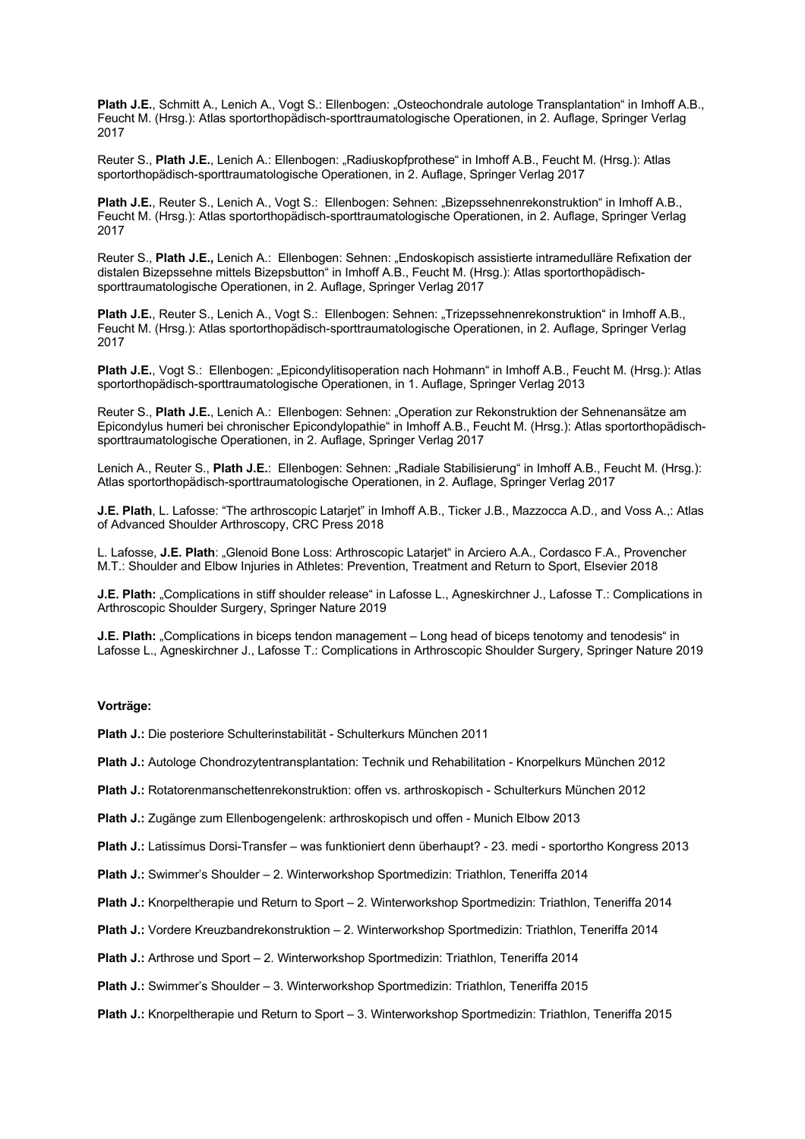Plath J.E., Schmitt A., Lenich A., Vogt S.: Ellenbogen: "Osteochondrale autologe Transplantation" in Imhoff A.B., Feucht M. (Hrsg.): Atlas sportorthopädisch-sporttraumatologische Operationen, in 2. Auflage, Springer Verlag 2017

Reuter S., **Plath J.E.**, Lenich A.: Ellenbogen: "Radiuskopfprothese" in Imhoff A.B., Feucht M. (Hrsg.): Atlas sportorthopädisch-sporttraumatologische Operationen, in 2. Auflage, Springer Verlag 2017

Plath J.E., Reuter S., Lenich A., Vogt S.: Ellenbogen: Sehnen: "Bizepssehnenrekonstruktion" in Imhoff A.B., Feucht M. (Hrsg.): Atlas sportorthopädisch-sporttraumatologische Operationen, in 2. Auflage, Springer Verlag 2017

Reuter S., **Plath J.E.,** Lenich A.: Ellenbogen: Sehnen: "Endoskopisch assistierte intramedulläre Refixation der distalen Bizepssehne mittels Bizepsbutton" in Imhoff A.B., Feucht M. (Hrsg.): Atlas sportorthopädischsporttraumatologische Operationen, in 2. Auflage, Springer Verlag 2017

Plath J.E., Reuter S., Lenich A., Vogt S.: Ellenbogen: Sehnen: "Trizepssehnenrekonstruktion" in Imhoff A.B., Feucht M. (Hrsg.): Atlas sportorthopädisch-sporttraumatologische Operationen, in 2. Auflage, Springer Verlag 2017

Plath J.E., Vogt S.: Ellenbogen: "Epicondylitisoperation nach Hohmann" in Imhoff A.B., Feucht M. (Hrsg.): Atlas sportorthopädisch-sporttraumatologische Operationen, in 1. Auflage, Springer Verlag 2013

Reuter S., **Plath J.E.**, Lenich A.: Ellenbogen: Sehnen: "Operation zur Rekonstruktion der Sehnenansätze am Epicondylus humeri bei chronischer Epicondylopathie" in Imhoff A.B., Feucht M. (Hrsg.): Atlas sportorthopädischsporttraumatologische Operationen, in 2. Auflage, Springer Verlag 2017

Lenich A., Reuter S., **Plath J.E.**: Ellenbogen: Sehnen: "Radiale Stabilisierung" in Imhoff A.B., Feucht M. (Hrsg.): Atlas sportorthopädisch-sporttraumatologische Operationen, in 2. Auflage, Springer Verlag 2017

**J.E. Plath**, L. Lafosse: "The arthroscopic Latarjet" in Imhoff A.B., Ticker J.B., Mazzocca A.D., and Voss A.,: Atlas of Advanced Shoulder Arthroscopy, CRC Press 2018

L. Lafosse, **J.E. Plath**: "Glenoid Bone Loss: Arthroscopic Latarjet" in Arciero A.A., Cordasco F.A., Provencher M.T.: Shoulder and Elbow Injuries in Athletes: Prevention, Treatment and Return to Sport, Elsevier 2018

**J.E. Plath:** "Complications in stiff shoulder release" in Lafosse L., Agneskirchner J., Lafosse T.: Complications in Arthroscopic Shoulder Surgery, Springer Nature 2019

**J.E. Plath:** "Complications in biceps tendon management – Long head of biceps tenotomy and tenodesis" in Lafosse L., Agneskirchner J., Lafosse T.: Complications in Arthroscopic Shoulder Surgery, Springer Nature 2019

# **Vorträge:**

**Plath J.:** Die posteriore Schulterinstabilität - Schulterkurs München 2011

**Plath J.:** Autologe Chondrozytentransplantation: Technik und Rehabilitation - Knorpelkurs München 2012

**Plath J.:** Rotatorenmanschettenrekonstruktion: offen vs. arthroskopisch - Schulterkurs München 2012

**Plath J.:** Zugänge zum Ellenbogengelenk: arthroskopisch und offen - Munich Elbow 2013

**Plath J.:** Latissimus Dorsi-Transfer – was funktioniert denn überhaupt? - 23. medi - sportortho Kongress 2013

**Plath J.:** Swimmer's Shoulder – 2. Winterworkshop Sportmedizin: Triathlon, Teneriffa 2014

**Plath J.:** Knorpeltherapie und Return to Sport – 2. Winterworkshop Sportmedizin: Triathlon, Teneriffa 2014

**Plath J.:** Vordere Kreuzbandrekonstruktion – 2. Winterworkshop Sportmedizin: Triathlon, Teneriffa 2014

**Plath J.:** Arthrose und Sport – 2. Winterworkshop Sportmedizin: Triathlon, Teneriffa 2014

**Plath J.:** Swimmer's Shoulder – 3. Winterworkshop Sportmedizin: Triathlon, Teneriffa 2015

**Plath J.:** Knorpeltherapie und Return to Sport – 3. Winterworkshop Sportmedizin: Triathlon, Teneriffa 2015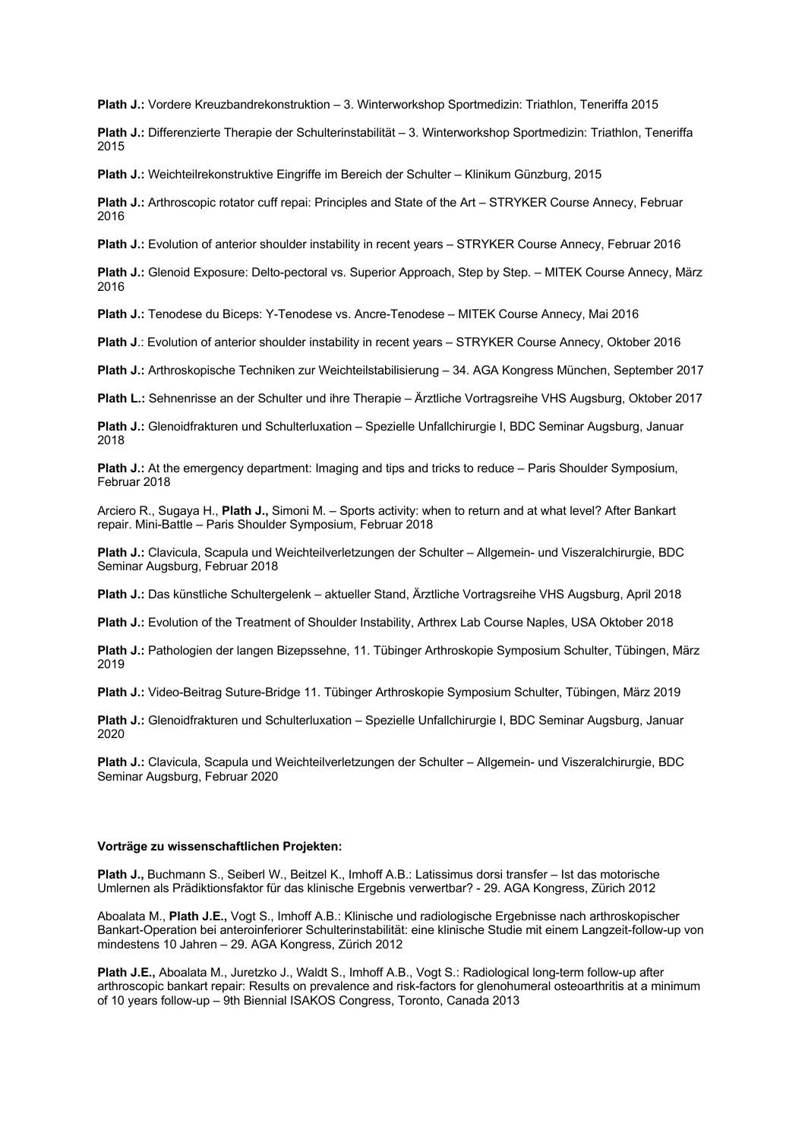**Plath J.:** Vordere Kreuzbandrekonstruktion – 3. Winterworkshop Sportmedizin: Triathlon, Teneriffa 2015

**Plath J.:** Differenzierte Therapie der Schulterinstabilität – 3. Winterworkshop Sportmedizin: Triathlon, Teneriffa 2015

**Plath J.:** Weichteilrekonstruktive Eingriffe im Bereich der Schulter – Klinikum Günzburg, 2015

**Plath J.:** Arthroscopic rotator cuff repai: Principles and State of the Art – STRYKER Course Annecy, Februar 2016

**Plath J.:** Evolution of anterior shoulder instability in recent years – STRYKER Course Annecy, Februar 2016

**Plath J.:** Glenoid Exposure: Delto-pectoral vs. Superior Approach, Step by Step. – MITEK Course Annecy, März 2016

**Plath J.:** Tenodese du Biceps: Y-Tenodese vs. Ancre-Tenodese – MITEK Course Annecy, Mai 2016

**Plath J**.: Evolution of anterior shoulder instability in recent years – STRYKER Course Annecy, Oktober 2016

**Plath J.:** Arthroskopische Techniken zur Weichteilstabilisierung – 34. AGA Kongress München, September 2017

**Plath L.:** Sehnenrisse an der Schulter und ihre Therapie – Ärztliche Vortragsreihe VHS Augsburg, Oktober 2017

**Plath J.:** Glenoidfrakturen und Schulterluxation – Spezielle Unfallchirurgie I, BDC Seminar Augsburg, Januar 2018

**Plath J.:** At the emergency department: Imaging and tips and tricks to reduce – Paris Shoulder Symposium, Februar 2018

Arciero R., Sugaya H., **Plath J.,** Simoni M. – Sports activity: when to return and at what level? After Bankart repair. Mini-Battle – Paris Shoulder Symposium, Februar 2018

**Plath J.:** Clavicula, Scapula und Weichteilverletzungen der Schulter – Allgemein- und Viszeralchirurgie, BDC Seminar Augsburg, Februar 2018

**Plath J.:** Das künstliche Schultergelenk – aktueller Stand, Ärztliche Vortragsreihe VHS Augsburg, April 2018

**Plath J.:** Evolution of the Treatment of Shoulder Instability, Arthrex Lab Course Naples, USA Oktober 2018

**Plath J.:** Pathologien der langen Bizepssehne, 11. Tübinger Arthroskopie Symposium Schulter, Tübingen, März 2019

**Plath J.:** Video-Beitrag Suture-Bridge 11. Tübinger Arthroskopie Symposium Schulter, Tübingen, März 2019

**Plath J.:** Glenoidfrakturen und Schulterluxation – Spezielle Unfallchirurgie I, BDC Seminar Augsburg, Januar 2020

**Plath J.:** Clavicula, Scapula und Weichteilverletzungen der Schulter – Allgemein- und Viszeralchirurgie, BDC Seminar Augsburg, Februar 2020

#### **Vorträge zu wissenschaftlichen Projekten:**

**Plath J.,** Buchmann S., Seiberl W., Beitzel K., Imhoff A.B.: Latissimus dorsi transfer – Ist das motorische Umlernen als Prädiktionsfaktor für das klinische Ergebnis verwertbar? - 29. AGA Kongress, Zürich 2012

Aboalata M., **Plath J.E.,** Vogt S., Imhoff A.B.: Klinische und radiologische Ergebnisse nach arthroskopischer Bankart-Operation bei anteroinferiorer Schulterinstabilität: eine klinische Studie mit einem Langzeit-follow-up von mindestens 10 Jahren – 29. AGA Kongress, Zürich 2012

**Plath J.E.,** Aboalata M., Juretzko J., Waldt S., Imhoff A.B., Vogt S.: Radiological long-term follow-up after arthroscopic bankart repair: Results on prevalence and risk-factors for glenohumeral osteoarthritis at a minimum of 10 years follow-up – 9th Biennial ISAKOS Congress, Toronto, Canada 2013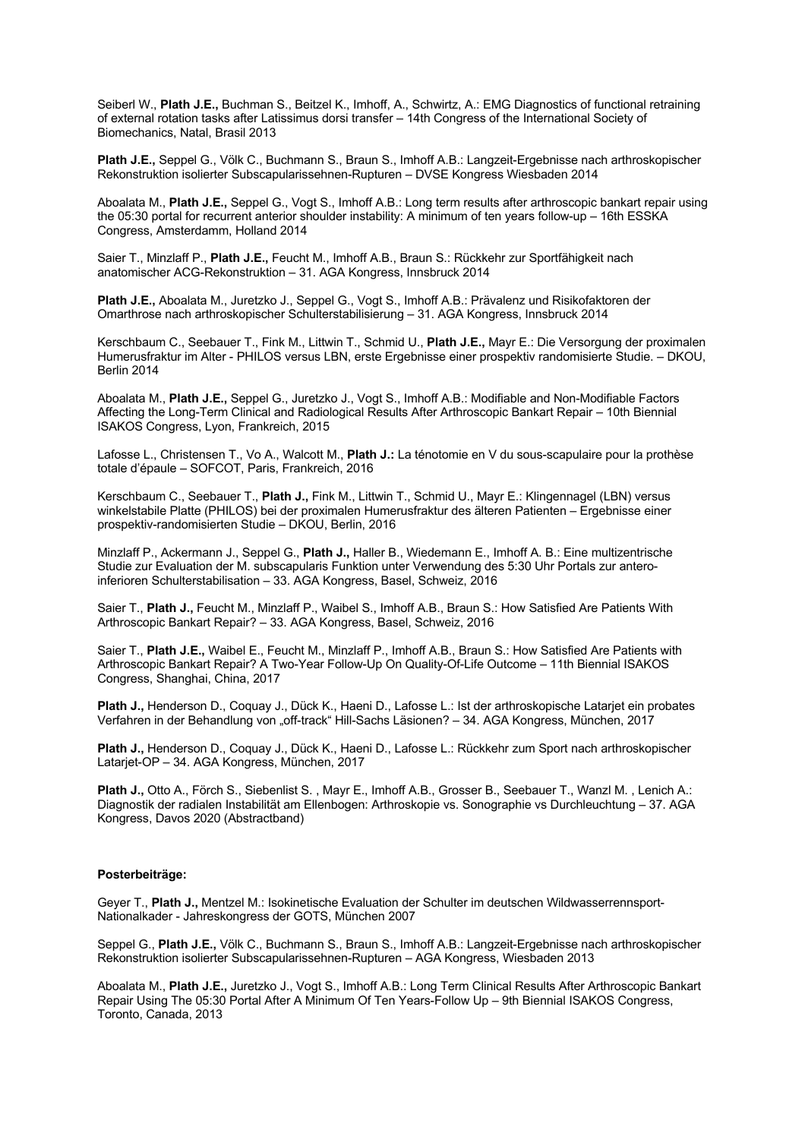Seiberl W., **Plath J.E.,** Buchman S., Beitzel K., Imhoff, A., Schwirtz, A.: EMG Diagnostics of functional retraining of external rotation tasks after Latissimus dorsi transfer – 14th Congress of the International Society of Biomechanics, Natal, Brasil 2013

**Plath J.E.,** Seppel G., Völk C., Buchmann S., Braun S., Imhoff A.B.: Langzeit-Ergebnisse nach arthroskopischer Rekonstruktion isolierter Subscapularissehnen-Rupturen – DVSE Kongress Wiesbaden 2014

Aboalata M., **Plath J.E.,** Seppel G., Vogt S., Imhoff A.B.: Long term results after arthroscopic bankart repair using the 05:30 portal for recurrent anterior shoulder instability: A minimum of ten years follow-up – 16th ESSKA Congress, Amsterdamm, Holland 2014

Saier T., Minzlaff P., **Plath J.E.,** Feucht M., Imhoff A.B., Braun S.: Rückkehr zur Sportfähigkeit nach anatomischer ACG-Rekonstruktion – 31. AGA Kongress, Innsbruck 2014

**Plath J.E.,** Aboalata M., Juretzko J., Seppel G., Vogt S., Imhoff A.B.: Prävalenz und Risikofaktoren der Omarthrose nach arthroskopischer Schulterstabilisierung – 31. AGA Kongress, Innsbruck 2014

Kerschbaum C., Seebauer T., Fink M., Littwin T., Schmid U., **Plath J.E.,** Mayr E.: Die Versorgung der proximalen Humerusfraktur im Alter - PHILOS versus LBN, erste Ergebnisse einer prospektiv randomisierte Studie. – DKOU, Berlin 2014

Aboalata M., **Plath J.E.,** Seppel G., Juretzko J., Vogt S., Imhoff A.B.: Modifiable and Non-Modifiable Factors Affecting the Long-Term Clinical and Radiological Results After Arthroscopic Bankart Repair – 10th Biennial ISAKOS Congress, Lyon, Frankreich, 2015

Lafosse L., Christensen T., Vo A., Walcott M., **Plath J.:** La ténotomie en V du sous-scapulaire pour la prothèse totale d'épaule – SOFCOT, Paris, Frankreich, 2016

Kerschbaum C., Seebauer T., **Plath J.,** Fink M., Littwin T., Schmid U., Mayr E.: Klingennagel (LBN) versus winkelstabile Platte (PHILOS) bei der proximalen Humerusfraktur des älteren Patienten – Ergebnisse einer prospektiv-randomisierten Studie – DKOU, Berlin, 2016

Minzlaff P., Ackermann J., Seppel G., **Plath J.,** Haller B., Wiedemann E., Imhoff A. B.: Eine multizentrische Studie zur Evaluation der M. subscapularis Funktion unter Verwendung des 5:30 Uhr Portals zur anteroinferioren Schulterstabilisation – 33. AGA Kongress, Basel, Schweiz, 2016

Saier T., **Plath J.,** Feucht M., Minzlaff P., Waibel S., Imhoff A.B., Braun S.: How Satisfied Are Patients With Arthroscopic Bankart Repair? – 33. AGA Kongress, Basel, Schweiz, 2016

Saier T., **Plath J.E.,** Waibel E., Feucht M., Minzlaff P., Imhoff A.B., Braun S.: How Satisfied Are Patients with Arthroscopic Bankart Repair? A Two-Year Follow-Up On Quality-Of-Life Outcome – 11th Biennial ISAKOS Congress, Shanghai, China, 2017

**Plath J.,** Henderson D., Coquay J., Dück K., Haeni D., Lafosse L.: Ist der arthroskopische Latarjet ein probates Verfahren in der Behandlung von "off-track" Hill-Sachs Läsionen? – 34. AGA Kongress, München, 2017

**Plath J.,** Henderson D., Coquay J., Dück K., Haeni D., Lafosse L.: Rückkehr zum Sport nach arthroskopischer Latarjet-OP – 34. AGA Kongress, München, 2017

**Plath J.,** Otto A., Förch S., Siebenlist S. , Mayr E., Imhoff A.B., Grosser B., Seebauer T., Wanzl M. , Lenich A.: Diagnostik der radialen Instabilität am Ellenbogen: Arthroskopie vs. Sonographie vs Durchleuchtung – 37. AGA Kongress, Davos 2020 (Abstractband)

## **Posterbeiträge:**

Geyer T., **Plath J.,** Mentzel M.: Isokinetische Evaluation der Schulter im deutschen Wildwasserrennsport-Nationalkader - Jahreskongress der GOTS, München 2007

Seppel G., **Plath J.E.,** Völk C., Buchmann S., Braun S., Imhoff A.B.: Langzeit-Ergebnisse nach arthroskopischer Rekonstruktion isolierter Subscapularissehnen-Rupturen – AGA Kongress, Wiesbaden 2013

Aboalata M., **Plath J.E.,** Juretzko J., Vogt S., Imhoff A.B.: Long Term Clinical Results After Arthroscopic Bankart Repair Using The 05:30 Portal After A Minimum Of Ten Years-Follow Up – 9th Biennial ISAKOS Congress, Toronto, Canada, 2013